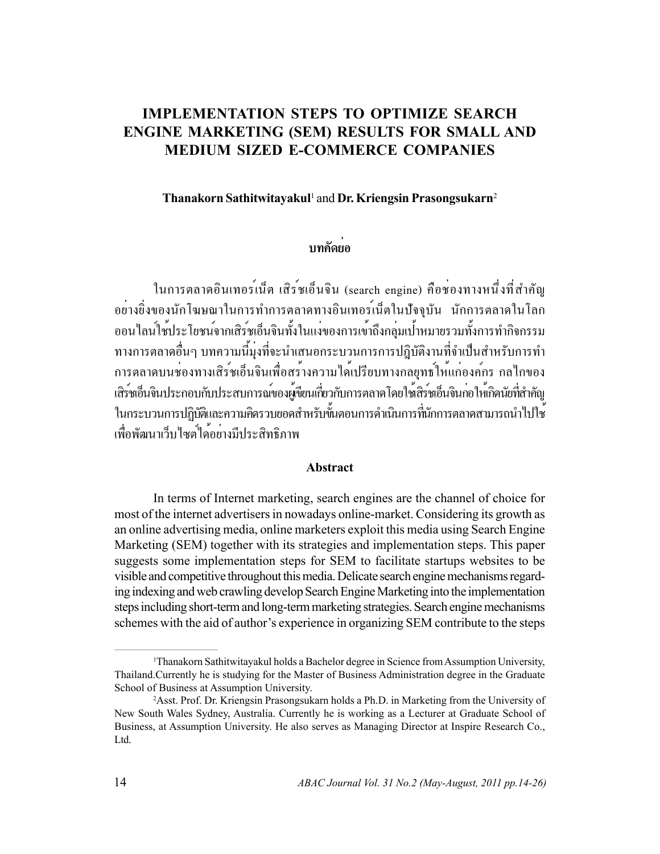# **IMPLEMENTATION STEPS TO OPTIMIZE SEARCH ENGINE MARKETING (SEM) RESULTS FOR SMALL AND MEDIUM SIZED E-COMMERCE COMPANIES**

### Thanakorn Sathitwitayakul<sup>1</sup> and Dr. Kriengsin Prasongsukarn<sup>2</sup>

## ำเทคัดย่อ

ในการตลาดอินเทอร<sup>์</sup>เน็ต เสิร*์*ชเอ็นจิน (search engine) คือช่องทางหนึ่งที่สำคัญ ้อย่างยิ่งของนักโฆษณาในการทำการตลาดทางอินเทอร์เน็ตในปัจจุบัน นักการตลาดในโลก ออนไลน์ใช้ประโยชน์จากเสิร์ชเอ็นจินทั้งในแง่ของการเข้าถึงกลุ่มเป<sup>้</sup>าหมายรวมทั้งการทำกิจกรรม ทางการตลาดอื่นๆ บทความนี้มงที่จะนำเสนอกระบวนการการปฏิบัติงานที่จำเป็นสำหรับการทำ การตลาดบนชองทางเสิร์ชเอ็นจินเพื่อสร<sup>้</sup>างความได<sup>้</sup>เปรียบทางกลยุทธ์ให<sup>้</sup>แก่องค<sup>์</sup>กร กลไกของ เสิร์ชเอ็นจินประกอบกับประสบการณ์ของผู้ขียนเกี่ยวกับการตลาดโดยใช้เสิร์ชเอ็นจินกอให้เกิดนัยที่สำคัญ ในกระบวนการปฏิบัติเละความคิดรวบยอดสำหรับขั้นตอนการดำเนินการที่นักการตลาดสามารถนำไปใช<sup>้</sup> เพื่อพัฒนาเว็บไซต<sup>์</sup>ได<sup>้</sup>อย่างมีประสิทธิภาพ

#### Abstract

In terms of Internet marketing, search engines are the channel of choice for most of the internet advertisers in nowadays online-market. Considering its growth as an online advertising media, online marketers exploit this media using Search Engine Marketing (SEM) together with its strategies and implementation steps. This paper suggests some implementation steps for SEM to facilitate startups websites to be visible and competitive throughout this media. Delicate search engine mechanisms regarding indexing and web crawling develop Search Engine Marketing into the implementation steps including short-term and long-term marketing strategies. Search engine mechanisms schemes with the aid of author's experience in organizing SEM contribute to the steps

<sup>&</sup>lt;sup>1</sup>Thanakorn Sathitwitayakul holds a Bachelor degree in Science from Assumption University, Thailand.Currently he is studying for the Master of Business Administration degree in the Graduate School of Business at Assumption University.

<sup>&</sup>lt;sup>2</sup>Asst. Prof. Dr. Kriengsin Prasongsukarn holds a Ph.D. in Marketing from the University of New South Wales Sydney, Australia. Currently he is working as a Lecturer at Graduate School of Business, at Assumption University. He also serves as Managing Director at Inspire Research Co., Ltd.